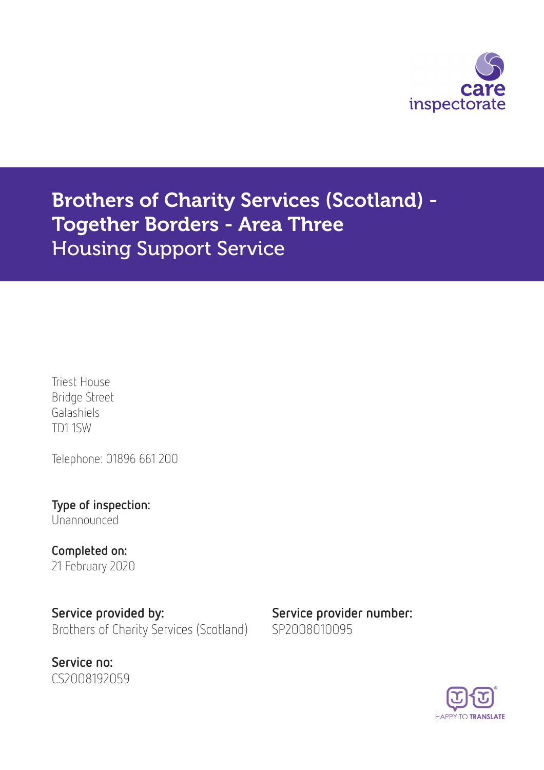

Brothers of Charity Services (Scotland) - Together Borders - Area Three Housing Support Service

Triest House Bridge Street Galashiels TD1 1SW

Telephone: 01896 661 200

Type of inspection: Unannounced

Completed on: 21 February 2020

Service provided by: Service provider number: Brothers of Charity Services (Scotland) SP2008010095



**HAPPY TO TRANSLATE**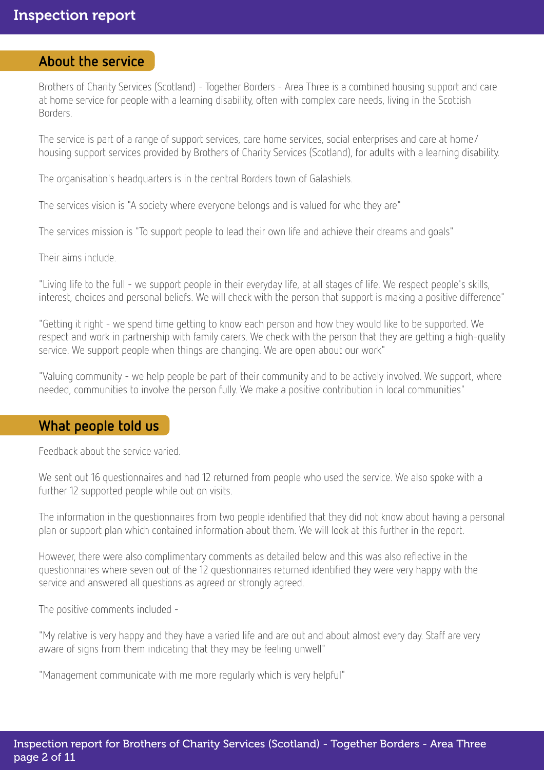### About the service

Brothers of Charity Services (Scotland) - Together Borders - Area Three is a combined housing support and care at home service for people with a learning disability, often with complex care needs, living in the Scottish Borders.

The service is part of a range of support services, care home services, social enterprises and care at home/ housing support services provided by Brothers of Charity Services (Scotland), for adults with a learning disability.

The organisation's headquarters is in the central Borders town of Galashiels.

The services vision is "A society where everyone belongs and is valued for who they are"

The services mission is "To support people to lead their own life and achieve their dreams and goals"

Their aims include.

"Living life to the full - we support people in their everyday life, at all stages of life. We respect people's skills, interest, choices and personal beliefs. We will check with the person that support is making a positive difference"

"Getting it right - we spend time getting to know each person and how they would like to be supported. We respect and work in partnership with family carers. We check with the person that they are getting a high-quality service. We support people when things are changing. We are open about our work"

"Valuing community - we help people be part of their community and to be actively involved. We support, where needed, communities to involve the person fully. We make a positive contribution in local communities"

### What people told us

Feedback about the service varied.

We sent out 16 questionnaires and had 12 returned from people who used the service. We also spoke with a further 12 supported people while out on visits.

The information in the questionnaires from two people identified that they did not know about having a personal plan or support plan which contained information about them. We will look at this further in the report.

However, there were also complimentary comments as detailed below and this was also reflective in the questionnaires where seven out of the 12 questionnaires returned identified they were very happy with the service and answered all questions as agreed or strongly agreed.

The positive comments included -

"My relative is very happy and they have a varied life and are out and about almost every day. Staff are very aware of signs from them indicating that they may be feeling unwell"

"Management communicate with me more regularly which is very helpful"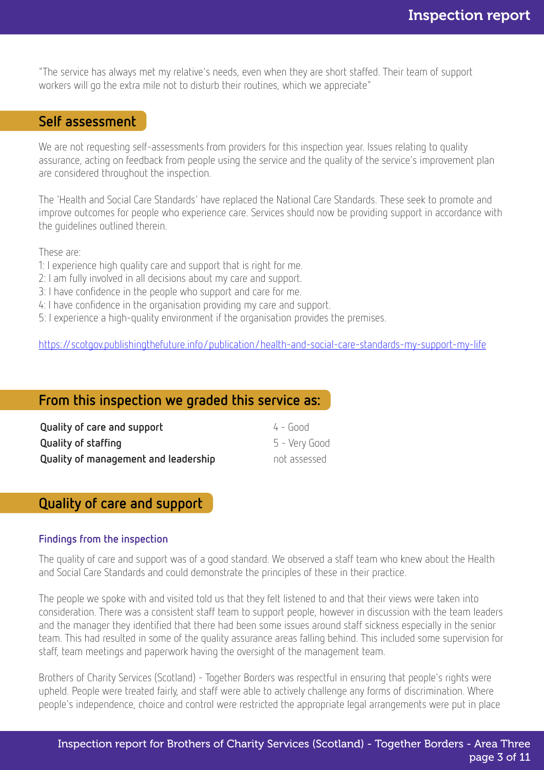"The service has always met my relative's needs, even when they are short staffed. Their team of support workers will go the extra mile not to disturb their routines, which we appreciate"

### Self assessment

We are not requesting self-assessments from providers for this inspection year. Issues relating to quality assurance, acting on feedback from people using the service and the quality of the service's improvement plan are considered throughout the inspection.

The 'Health and Social Care Standards' have replaced the National Care Standards. These seek to promote and improve outcomes for people who experience care. Services should now be providing support in accordance with the guidelines outlined therein.

These are:

- 1: I experience high quality care and support that is right for me.
- 2: I am fully involved in all decisions about my care and support.
- 3: I have confidence in the people who support and care for me.
- 4: I have confidence in the organisation providing my care and support.
- 5: I experience a high-quality environment if the organisation provides the premises.

<https://scotgov.publishingthefuture.info/publication/health-and-social-care-standards-my-support-my-life>

### From this inspection we graded this service as:

| Quality of care and support          | $4 - 600d$    |
|--------------------------------------|---------------|
| <b>Quality of staffing</b>           | 5 - Very Good |
| Quality of management and leadership | not assessed  |

## Quality of care and support

#### Findings from the inspection

The quality of care and support was of a good standard. We observed a staff team who knew about the Health and Social Care Standards and could demonstrate the principles of these in their practice.

The people we spoke with and visited told us that they felt listened to and that their views were taken into consideration. There was a consistent staff team to support people, however in discussion with the team leaders and the manager they identified that there had been some issues around staff sickness especially in the senior team. This had resulted in some of the quality assurance areas falling behind. This included some supervision for staff, team meetings and paperwork having the oversight of the management team.

Brothers of Charity Services (Scotland) - Together Borders was respectful in ensuring that people's rights were upheld. People were treated fairly, and staff were able to actively challenge any forms of discrimination. Where people's independence, choice and control were restricted the appropriate legal arrangements were put in place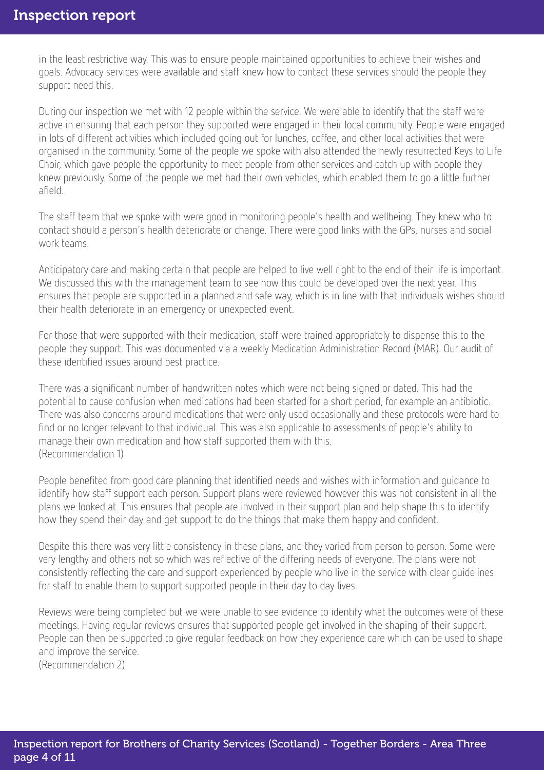in the least restrictive way. This was to ensure people maintained opportunities to achieve their wishes and goals. Advocacy services were available and staff knew how to contact these services should the people they support need this.

During our inspection we met with 12 people within the service. We were able to identify that the staff were active in ensuring that each person they supported were engaged in their local community. People were engaged in lots of different activities which included going out for lunches, coffee, and other local activities that were organised in the community. Some of the people we spoke with also attended the newly resurrected Keys to Life Choir, which gave people the opportunity to meet people from other services and catch up with people they knew previously. Some of the people we met had their own vehicles, which enabled them to go a little further afield.

The staff team that we spoke with were good in monitoring people's health and wellbeing. They knew who to contact should a person's health deteriorate or change. There were good links with the GPs, nurses and social work teams.

Anticipatory care and making certain that people are helped to live well right to the end of their life is important. We discussed this with the management team to see how this could be developed over the next year. This ensures that people are supported in a planned and safe way, which is in line with that individuals wishes should their health deteriorate in an emergency or unexpected event.

For those that were supported with their medication, staff were trained appropriately to dispense this to the people they support. This was documented via a weekly Medication Administration Record (MAR). Our audit of these identified issues around best practice.

There was a significant number of handwritten notes which were not being signed or dated. This had the potential to cause confusion when medications had been started for a short period, for example an antibiotic. There was also concerns around medications that were only used occasionally and these protocols were hard to find or no longer relevant to that individual. This was also applicable to assessments of people's ability to manage their own medication and how staff supported them with this. (Recommendation 1)

People benefited from good care planning that identified needs and wishes with information and guidance to identify how staff support each person. Support plans were reviewed however this was not consistent in all the plans we looked at. This ensures that people are involved in their support plan and help shape this to identify how they spend their day and get support to do the things that make them happy and confident.

Despite this there was very little consistency in these plans, and they varied from person to person. Some were very lengthy and others not so which was reflective of the differing needs of everyone. The plans were not consistently reflecting the care and support experienced by people who live in the service with clear guidelines for staff to enable them to support supported people in their day to day lives.

Reviews were being completed but we were unable to see evidence to identify what the outcomes were of these meetings. Having regular reviews ensures that supported people get involved in the shaping of their support. People can then be supported to give regular feedback on how they experience care which can be used to shape and improve the service.

(Recommendation 2)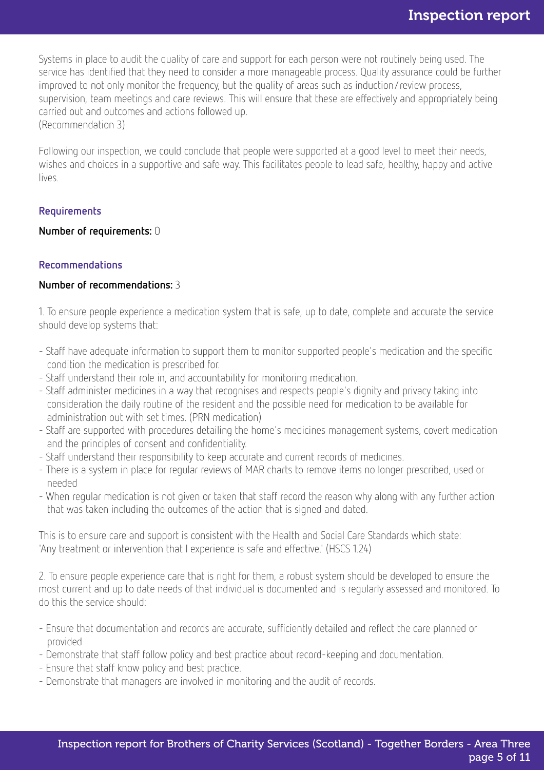Systems in place to audit the quality of care and support for each person were not routinely being used. The service has identified that they need to consider a more manageable process. Quality assurance could be further improved to not only monitor the frequency, but the quality of areas such as induction/review process, supervision, team meetings and care reviews. This will ensure that these are effectively and appropriately being carried out and outcomes and actions followed up. (Recommendation 3)

Following our inspection, we could conclude that people were supported at a good level to meet their needs, wishes and choices in a supportive and safe way. This facilitates people to lead safe, healthy, happy and active lives.

#### Requirements

#### Number of requirements: 0

#### Recommendations

#### Number of recommendations: 3

1. To ensure people experience a medication system that is safe, up to date, complete and accurate the service should develop systems that:

- Staff have adequate information to support them to monitor supported people's medication and the specific condition the medication is prescribed for.
- Staff understand their role in, and accountability for monitoring medication.
- Staff administer medicines in a way that recognises and respects people's dignity and privacy taking into consideration the daily routine of the resident and the possible need for medication to be available for administration out with set times. (PRN medication)
- Staff are supported with procedures detailing the home's medicines management systems, covert medication and the principles of consent and confidentiality.
- Staff understand their responsibility to keep accurate and current records of medicines.
- There is a system in place for regular reviews of MAR charts to remove items no longer prescribed, used or needed
- When regular medication is not given or taken that staff record the reason why along with any further action that was taken including the outcomes of the action that is signed and dated.

This is to ensure care and support is consistent with the Health and Social Care Standards which state: 'Any treatment or intervention that I experience is safe and effective.' (HSCS 1.24)

2. To ensure people experience care that is right for them, a robust system should be developed to ensure the most current and up to date needs of that individual is documented and is regularly assessed and monitored. To do this the service should:

- Ensure that documentation and records are accurate, sufficiently detailed and reflect the care planned or provided
- Demonstrate that staff follow policy and best practice about record-keeping and documentation.
- Ensure that staff know policy and best practice.
- Demonstrate that managers are involved in monitoring and the audit of records.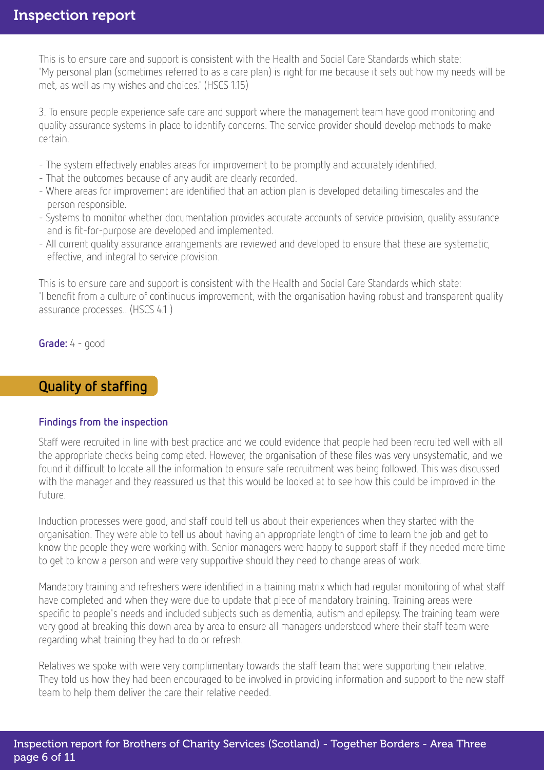This is to ensure care and support is consistent with the Health and Social Care Standards which state: 'My personal plan (sometimes referred to as a care plan) is right for me because it sets out how my needs will be met, as well as my wishes and choices.' (HSCS 1.15)

3. To ensure people experience safe care and support where the management team have good monitoring and quality assurance systems in place to identify concerns. The service provider should develop methods to make certain.

- The system effectively enables areas for improvement to be promptly and accurately identified.
- That the outcomes because of any audit are clearly recorded.
- Where areas for improvement are identified that an action plan is developed detailing timescales and the person responsible.
- Systems to monitor whether documentation provides accurate accounts of service provision, quality assurance and is fit-for-purpose are developed and implemented.
- All current quality assurance arrangements are reviewed and developed to ensure that these are systematic, effective, and integral to service provision.

This is to ensure care and support is consistent with the Health and Social Care Standards which state: 'I benefit from a culture of continuous improvement, with the organisation having robust and transparent quality assurance processes.. (HSCS 4.1 )

Grade: 4 - good

# Quality of staffing

### Findings from the inspection

Staff were recruited in line with best practice and we could evidence that people had been recruited well with all the appropriate checks being completed. However, the organisation of these files was very unsystematic, and we found it difficult to locate all the information to ensure safe recruitment was being followed. This was discussed with the manager and they reassured us that this would be looked at to see how this could be improved in the future.

Induction processes were good, and staff could tell us about their experiences when they started with the organisation. They were able to tell us about having an appropriate length of time to learn the job and get to know the people they were working with. Senior managers were happy to support staff if they needed more time to get to know a person and were very supportive should they need to change areas of work.

Mandatory training and refreshers were identified in a training matrix which had regular monitoring of what staff have completed and when they were due to update that piece of mandatory training. Training areas were specific to people's needs and included subjects such as dementia, autism and epilepsy. The training team were very good at breaking this down area by area to ensure all managers understood where their staff team were regarding what training they had to do or refresh.

Relatives we spoke with were very complimentary towards the staff team that were supporting their relative. They told us how they had been encouraged to be involved in providing information and support to the new staff team to help them deliver the care their relative needed.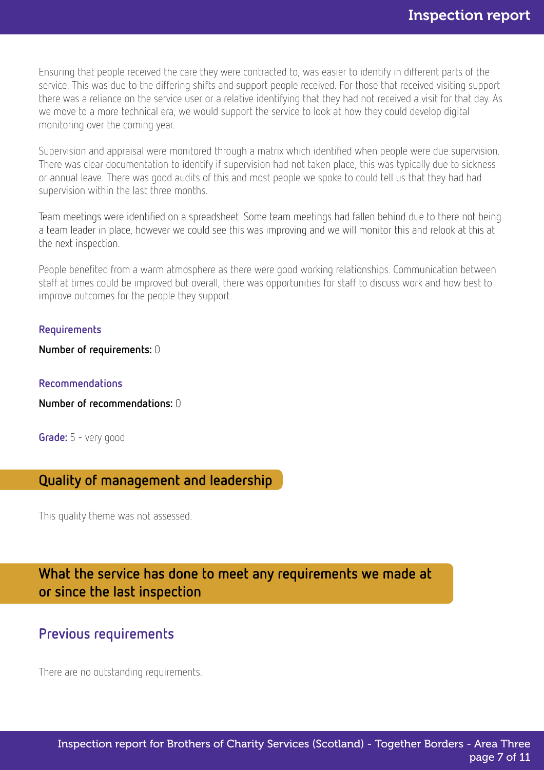Ensuring that people received the care they were contracted to, was easier to identify in different parts of the service. This was due to the differing shifts and support people received. For those that received visiting support there was a reliance on the service user or a relative identifying that they had not received a visit for that day. As we move to a more technical era, we would support the service to look at how they could develop digital monitoring over the coming year.

Supervision and appraisal were monitored through a matrix which identified when people were due supervision. There was clear documentation to identify if supervision had not taken place, this was typically due to sickness or annual leave. There was good audits of this and most people we spoke to could tell us that they had had supervision within the last three months.

Team meetings were identified on a spreadsheet. Some team meetings had fallen behind due to there not being a team leader in place, however we could see this was improving and we will monitor this and relook at this at the next inspection.

People benefited from a warm atmosphere as there were good working relationships. Communication between staff at times could be improved but overall, there was opportunities for staff to discuss work and how best to improve outcomes for the people they support.

#### Requirements

Number of requirements: 0

#### Recommendations

Number of recommendations: 0

Grade: 5 - very good

# Quality of management and leadership

This quality theme was not assessed.

What the service has done to meet any requirements we made at or since the last inspection

## Previous requirements

There are no outstanding requirements.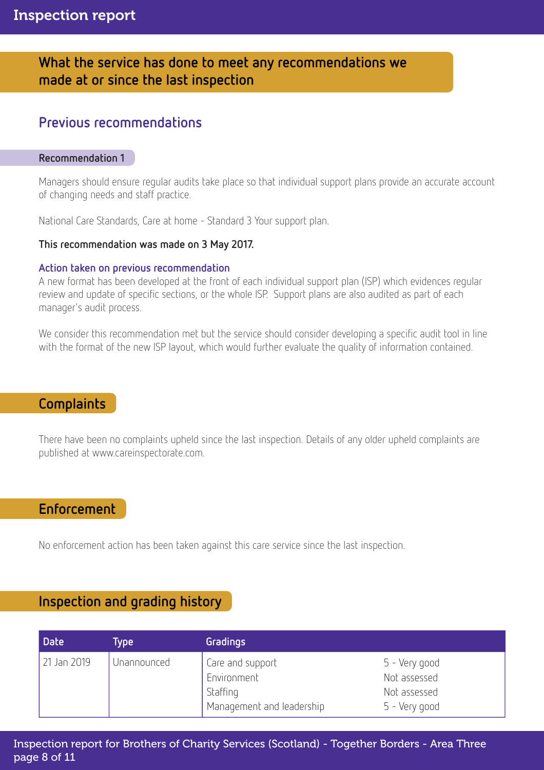# What the service has done to meet any recommendations we made at or since the last inspection

# Previous recommendations

#### Recommendation 1

Managers should ensure regular audits take place so that individual support plans provide an accurate account of changing needs and staff practice.

National Care Standards, Care at home - Standard 3 Your support plan.

#### This recommendation was made on 3 May 2017.

#### Action taken on previous recommendation

A new format has been developed at the front of each individual support plan (ISP) which evidences regular review and update of specific sections, or the whole ISP. Support plans are also audited as part of each manager's audit process.

We consider this recommendation met but the service should consider developing a specific audit tool in line with the format of the new ISP layout, which would further evaluate the quality of information contained.

### Complaints

There have been no complaints upheld since the last inspection. Details of any older upheld complaints are published at www.careinspectorate.com.

## Enforcement

No enforcement action has been taken against this care service since the last inspection.

# Inspection and grading history

| <b>Date</b>  | Гуре        | Gradings                                                                 |                                                                |
|--------------|-------------|--------------------------------------------------------------------------|----------------------------------------------------------------|
| 121 Jan 2019 | Unannounced | Care and support<br>Environment<br>Staffing<br>Management and leadership | 5 - Very good<br>Not assessed<br>Not assessed<br>5 - Very good |

Inspection report for Brothers of Charity Services (Scotland) - Together Borders - Area Three page 8 of 11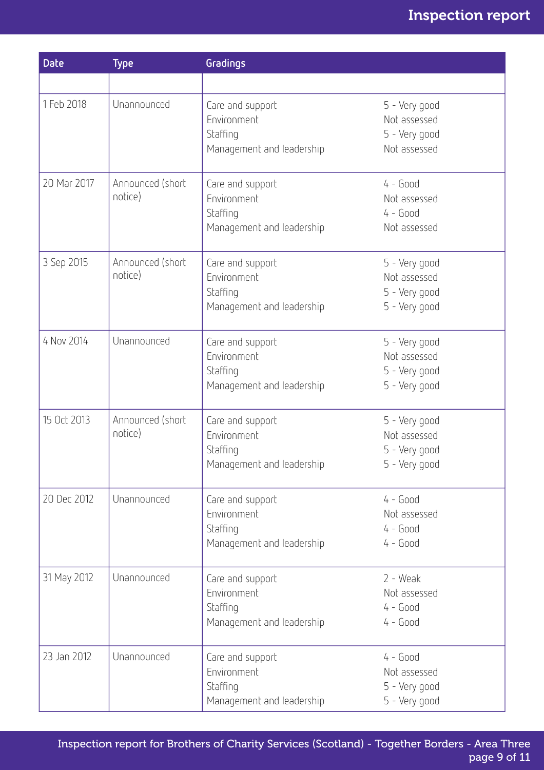# Inspection report

| <b>Date</b> | <b>Type</b>                 | Gradings                                                                 |                                                                 |
|-------------|-----------------------------|--------------------------------------------------------------------------|-----------------------------------------------------------------|
|             |                             |                                                                          |                                                                 |
| 1 Feb 2018  | Unannounced                 | Care and support<br>Environment<br>Staffing<br>Management and leadership | 5 - Very good<br>Not assessed<br>5 - Very good<br>Not assessed  |
| 20 Mar 2017 | Announced (short<br>notice) | Care and support<br>Environment<br>Staffing<br>Management and leadership | $4 - Good$<br>Not assessed<br>$4 - Good$<br>Not assessed        |
| 3 Sep 2015  | Announced (short<br>notice) | Care and support<br>Environment<br>Staffing<br>Management and leadership | 5 - Very good<br>Not assessed<br>5 - Very good<br>5 - Very good |
| 4 Nov 2014  | Unannounced                 | Care and support<br>Environment<br>Staffing<br>Management and leadership | 5 - Very good<br>Not assessed<br>5 - Very good<br>5 - Very good |
| 15 Oct 2013 | Announced (short<br>notice) | Care and support<br>Environment<br>Staffing<br>Management and leadership | 5 - Very good<br>Not assessed<br>5 - Very good<br>5 - Very good |
| 20 Dec 2012 | Unannounced                 | Care and support<br>Environment<br>Staffing<br>Management and leadership | $4 - Good$<br>Not assessed<br>$4 - Good$<br>$4 - Good$          |
| 31 May 2012 | Unannounced                 | Care and support<br>Environment<br>Staffing<br>Management and leadership | $2 - Weak$<br>Not assessed<br>$4 - Good$<br>$4 - Good$          |
| 23 Jan 2012 | Unannounced                 | Care and support<br>Environment<br>Staffing<br>Management and leadership | $4 - Good$<br>Not assessed<br>5 - Very good<br>5 - Very good    |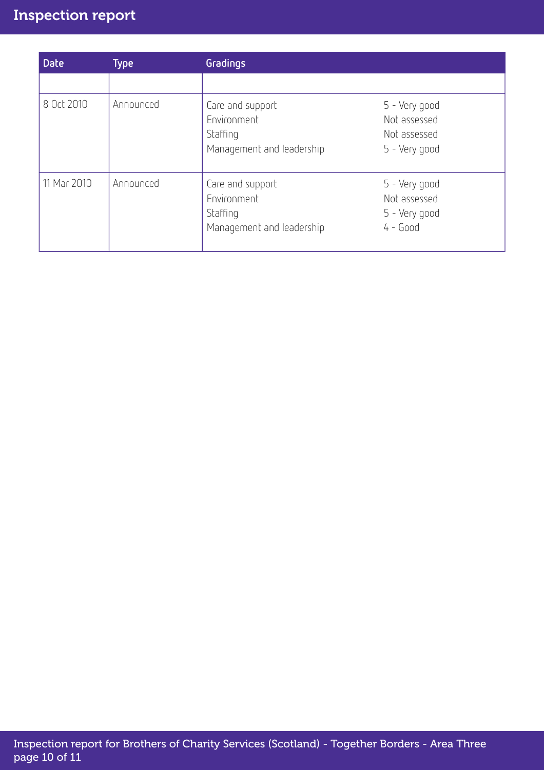# Inspection report

| <b>Date</b> | <b>Type</b> | Gradings                                                                 |                                                                |
|-------------|-------------|--------------------------------------------------------------------------|----------------------------------------------------------------|
|             |             |                                                                          |                                                                |
| 8 Oct 2010  | Announced   | Care and support<br>Environment<br>Staffing<br>Management and leadership | 5 - Very good<br>Not assessed<br>Not assessed<br>5 - Very good |
| 11 Mar 2010 | Announced   | Care and support<br>Environment<br>Staffing<br>Management and leadership | 5 - Very good<br>Not assessed<br>5 - Very good<br>$4 - Good$   |